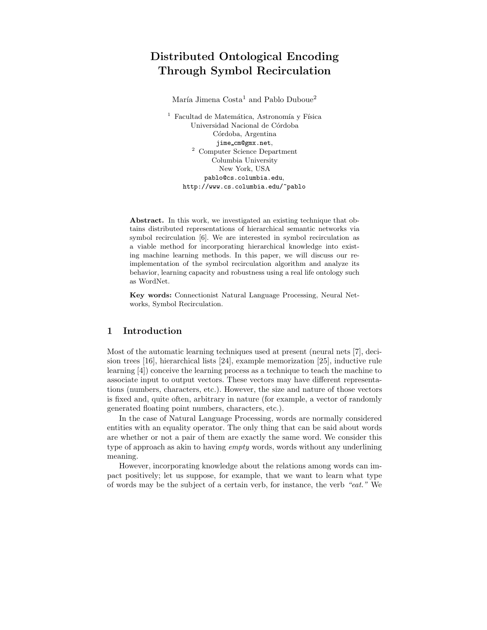# Distributed Ontological Encoding Through Symbol Recirculation

María Jimena  $Costa<sup>1</sup>$  and Pablo Duboue<sup>2</sup>

 $^{\rm 1}$  Facultad de Matemática, Astronomía y Física Universidad Nacional de Córdoba Córdoba, Argentina jime cm@gmx.net, <sup>2</sup> Computer Science Department Columbia University New York, USA pablo@cs.columbia.edu, http://www.cs.columbia.edu/~pablo

Abstract. In this work, we investigated an existing technique that obtains distributed representations of hierarchical semantic networks via symbol recirculation [6]. We are interested in symbol recirculation as a viable method for incorporating hierarchical knowledge into existing machine learning methods. In this paper, we will discuss our reimplementation of the symbol recirculation algorithm and analyze its behavior, learning capacity and robustness using a real life ontology such as WordNet.

Key words: Connectionist Natural Language Processing, Neural Networks, Symbol Recirculation.

#### 1 Introduction

Most of the automatic learning techniques used at present (neural nets [7], decision trees [16], hierarchical lists [24], example memorization [25], inductive rule learning [4]) conceive the learning process as a technique to teach the machine to associate input to output vectors. These vectors may have different representations (numbers, characters, etc.). However, the size and nature of those vectors is fixed and, quite often, arbitrary in nature (for example, a vector of randomly generated floating point numbers, characters, etc.).

In the case of Natural Language Processing, words are normally considered entities with an equality operator. The only thing that can be said about words are whether or not a pair of them are exactly the same word. We consider this type of approach as akin to having empty words, words without any underlining meaning.

However, incorporating knowledge about the relations among words can impact positively; let us suppose, for example, that we want to learn what type of words may be the subject of a certain verb, for instance, the verb "eat." We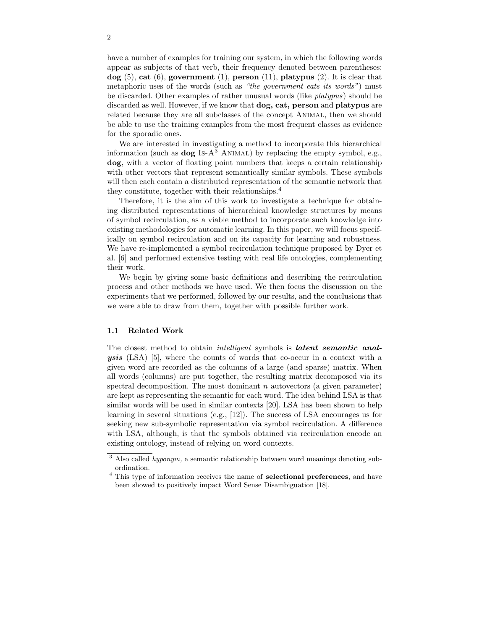have a number of examples for training our system, in which the following words appear as subjects of that verb, their frequency denoted between parentheses:  $\log$  (5), cat (6), government (1), person (11), platypus (2). It is clear that metaphoric uses of the words (such as "the government eats its words") must be discarded. Other examples of rather unusual words (like platypus) should be discarded as well. However, if we know that dog, cat, person and platypus are related because they are all subclasses of the concept Animal, then we should be able to use the training examples from the most frequent classes as evidence for the sporadic ones.

We are interested in investigating a method to incorporate this hierarchical information (such as  $\log$  Is-A<sup>3</sup> ANIMAL) by replacing the empty symbol, e.g., dog, with a vector of floating point numbers that keeps a certain relationship with other vectors that represent semantically similar symbols. These symbols will then each contain a distributed representation of the semantic network that they constitute, together with their relationships.<sup>4</sup>

Therefore, it is the aim of this work to investigate a technique for obtaining distributed representations of hierarchical knowledge structures by means of symbol recirculation, as a viable method to incorporate such knowledge into existing methodologies for automatic learning. In this paper, we will focus specifically on symbol recirculation and on its capacity for learning and robustness. We have re-implemented a symbol recirculation technique proposed by Dyer et al. [6] and performed extensive testing with real life ontologies, complementing their work.

We begin by giving some basic definitions and describing the recirculation process and other methods we have used. We then focus the discussion on the experiments that we performed, followed by our results, and the conclusions that we were able to draw from them, together with possible further work.

#### 1.1 Related Work

The closest method to obtain *intelligent* symbols is *latent semantic anal* ysis (LSA) [5], where the counts of words that co-occur in a context with a given word are recorded as the columns of a large (and sparse) matrix. When all words (columns) are put together, the resulting matrix decomposed via its spectral decomposition. The most dominant n autovectors (a given parameter) are kept as representing the semantic for each word. The idea behind LSA is that similar words will be used in similar contexts [20]. LSA has been shown to help learning in several situations (e.g., [12]). The success of LSA encourages us for seeking new sub-symbolic representation via symbol recirculation. A difference with LSA, although, is that the symbols obtained via recirculation encode an existing ontology, instead of relying on word contexts.

 $3$  Also called *hyponym*, a semantic relationship between word meanings denoting subordination.

<sup>&</sup>lt;sup>4</sup> This type of information receives the name of **selectional preferences**, and have been showed to positively impact Word Sense Disambiguation [18].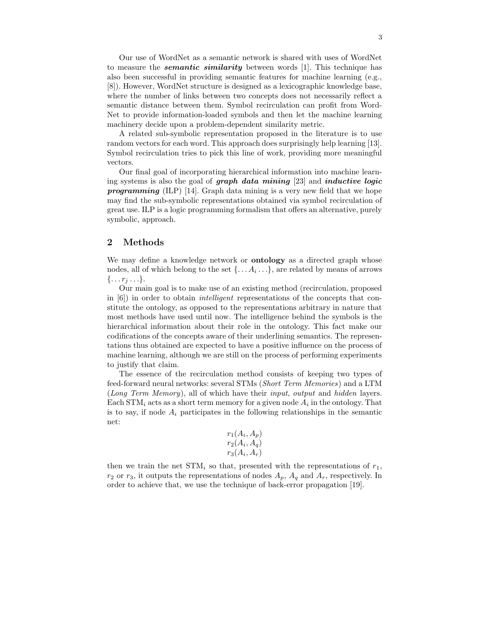Our use of WordNet as a semantic network is shared with uses of WordNet to measure the *semantic similarity* between words [1]. This technique has also been successful in providing semantic features for machine learning (e.g., [8]). However, WordNet structure is designed as a lexicographic knowledge base, where the number of links between two concepts does not necessarily reflect a semantic distance between them. Symbol recirculation can profit from Word-Net to provide information-loaded symbols and then let the machine learning machinery decide upon a problem-dependent similarity metric.

A related sub-symbolic representation proposed in the literature is to use random vectors for each word. This approach does surprisingly help learning [13]. Symbol recirculation tries to pick this line of work, providing more meaningful vectors.

Our final goal of incorporating hierarchical information into machine learning systems is also the goal of graph data mining [23] and inductive logic **programming** (ILP) [14]. Graph data mining is a very new field that we hope may find the sub-symbolic representations obtained via symbol recirculation of great use. ILP is a logic programming formalism that offers an alternative, purely symbolic, approach.

#### 2 Methods

We may define a knowledge network or **ontology** as a directed graph whose nodes, all of which belong to the set  $\{\ldots A_i \ldots\}$ , are related by means of arrows  $\{\ldots r_i \ldots\}.$ 

Our main goal is to make use of an existing method (recirculation, proposed in  $[6]$ ) in order to obtain *intelligent* representations of the concepts that constitute the ontology, as opposed to the representations arbitrary in nature that most methods have used until now. The intelligence behind the symbols is the hierarchical information about their role in the ontology. This fact make our codifications of the concepts aware of their underlining semantics. The representations thus obtained are expected to have a positive influence on the process of machine learning, although we are still on the process of performing experiments to justify that claim.

The essence of the recirculation method consists of keeping two types of feed-forward neural networks: several STMs (Short Term Memories) and a LTM (Long Term Memory), all of which have their input, output and hidden layers. Each STM<sub>i</sub> acts as a short term memory for a given node  $A_i$  in the ontology. That is to say, if node  $A_i$  participates in the following relationships in the semantic net:

$$
r_1(A_i, A_p)
$$
  

$$
r_2(A_i, A_q)
$$
  

$$
r_3(A_i, A_r)
$$

then we train the net  $STM_i$  so that, presented with the representations of  $r_1$ ,  $r_2$  or  $r_3$ , it outputs the representations of nodes  $A_p$ ,  $A_q$  and  $A_r$ , respectively. In order to achieve that, we use the technique of back-error propagation [19].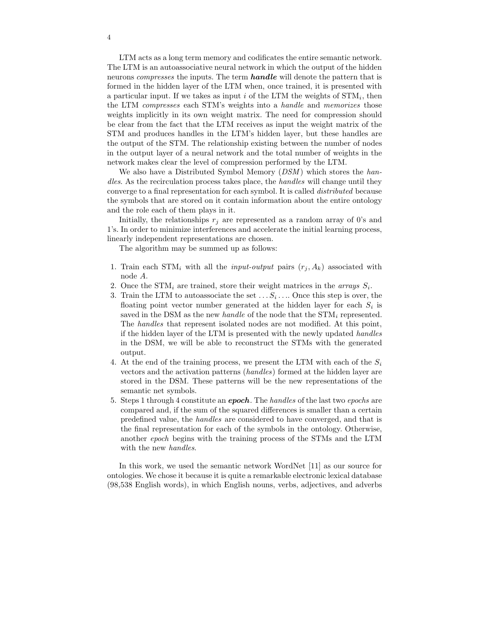LTM acts as a long term memory and codificates the entire semantic network. The LTM is an autoassociative neural network in which the output of the hidden neurons *compresses* the inputs. The term **handle** will denote the pattern that is formed in the hidden layer of the LTM when, once trained, it is presented with a particular input. If we takes as input  $i$  of the LTM the weights of  $STM_i$ , then the LTM compresses each STM's weights into a handle and memorizes those weights implicitly in its own weight matrix. The need for compression should be clear from the fact that the LTM receives as input the weight matrix of the STM and produces handles in the LTM's hidden layer, but these handles are the output of the STM. The relationship existing between the number of nodes in the output layer of a neural network and the total number of weights in the network makes clear the level of compression performed by the LTM.

We also have a Distributed Symbol Memory  $(DSM)$  which stores the handles. As the recirculation process takes place, the handles will change until they converge to a final representation for each symbol. It is called distributed because the symbols that are stored on it contain information about the entire ontology and the role each of them plays in it.

Initially, the relationships  $r_j$  are represented as a random array of 0's and 1's. In order to minimize interferences and accelerate the initial learning process, linearly independent representations are chosen.

The algorithm may be summed up as follows:

- 1. Train each STM<sub>i</sub> with all the *input-output* pairs  $(r_i, A_k)$  associated with node A.
- 2. Once the STM<sub>i</sub> are trained, store their weight matrices in the *arrays*  $S_i$ .
- 3. Train the LTM to autoassociate the set  $\dots S_i \dots$  Once this step is over, the floating point vector number generated at the hidden layer for each  $S_i$  is saved in the DSM as the new *handle* of the node that the  $STM_i$  represented. The handles that represent isolated nodes are not modified. At this point, if the hidden layer of the LTM is presented with the newly updated handles in the DSM, we will be able to reconstruct the STMs with the generated output.
- 4. At the end of the training process, we present the LTM with each of the  $S_i$ vectors and the activation patterns (handles) formed at the hidden layer are stored in the DSM. These patterns will be the new representations of the semantic net symbols.
- 5. Steps 1 through 4 constitute an *epoch*. The handles of the last two *epochs* are compared and, if the sum of the squared differences is smaller than a certain predefined value, the handles are considered to have converged, and that is the final representation for each of the symbols in the ontology. Otherwise, another epoch begins with the training process of the STMs and the LTM with the new handles.

In this work, we used the semantic network WordNet [11] as our source for ontologies. We chose it because it is quite a remarkable electronic lexical database (98,538 English words), in which English nouns, verbs, adjectives, and adverbs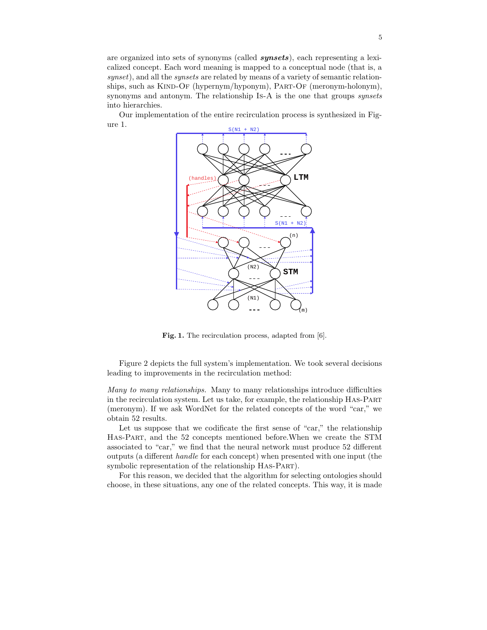are organized into sets of synonyms (called synsets), each representing a lexicalized concept. Each word meaning is mapped to a conceptual node (that is, a synset), and all the synsets are related by means of a variety of semantic relationships, such as KIND-OF (hypernym/hyponym), PART-OF (meronym-holonym), synonyms and antonym. The relationship Is-A is the one that groups synsets into hierarchies.

Our implementation of the entire recirculation process is synthesized in Figure 1.



Fig. 1. The recirculation process, adapted from [6].

Figure 2 depicts the full system's implementation. We took several decisions leading to improvements in the recirculation method:

Many to many relationships. Many to many relationships introduce difficulties in the recirculation system. Let us take, for example, the relationship Has-Part (meronym). If we ask WordNet for the related concepts of the word "car," we obtain 52 results.

Let us suppose that we codificate the first sense of "car," the relationship Has-Part, and the 52 concepts mentioned before.When we create the STM associated to "car," we find that the neural network must produce 52 different outputs (a different handle for each concept) when presented with one input (the symbolic representation of the relationship HAS-PART).

For this reason, we decided that the algorithm for selecting ontologies should choose, in these situations, any one of the related concepts. This way, it is made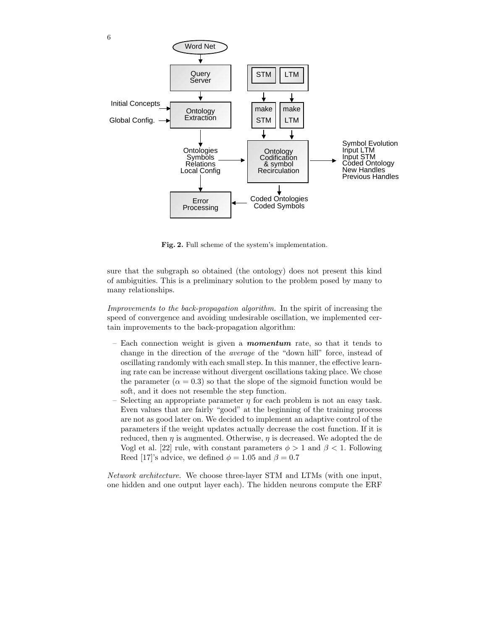

Fig. 2. Full scheme of the system's implementation.

sure that the subgraph so obtained (the ontology) does not present this kind of ambiguities. This is a preliminary solution to the problem posed by many to many relationships.

Improvements to the back-propagation algorithm. In the spirit of increasing the speed of convergence and avoiding undesirable oscillation, we implemented certain improvements to the back-propagation algorithm:

- Each connection weight is given a **momentum** rate, so that it tends to change in the direction of the average of the "down hill" force, instead of oscillating randomly with each small step. In this manner, the effective learning rate can be increase without divergent oscillations taking place. We chose the parameter ( $\alpha = 0.3$ ) so that the slope of the sigmoid function would be soft, and it does not resemble the step function.
- Selecting an appropriate parameter  $\eta$  for each problem is not an easy task. Even values that are fairly "good" at the beginning of the training process are not as good later on. We decided to implement an adaptive control of the parameters if the weight updates actually decrease the cost function. If it is reduced, then  $\eta$  is augmented. Otherwise,  $\eta$  is decreased. We adopted the de Vogl et al. [22] rule, with constant parameters  $\phi > 1$  and  $\beta < 1$ . Following Reed [17]'s advice, we defined  $\phi = 1.05$  and  $\beta = 0.7$

Network architecture. We choose three-layer STM and LTMs (with one input, one hidden and one output layer each). The hidden neurons compute the ERF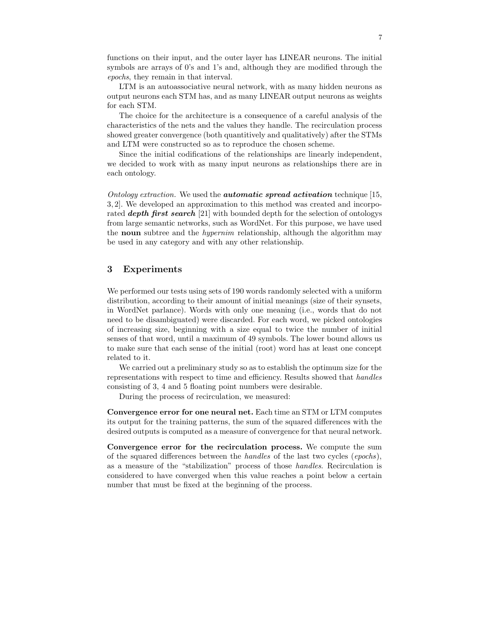functions on their input, and the outer layer has LINEAR neurons. The initial symbols are arrays of 0's and 1's and, although they are modified through the epochs, they remain in that interval.

LTM is an autoassociative neural network, with as many hidden neurons as output neurons each STM has, and as many LINEAR output neurons as weights for each STM.

The choice for the architecture is a consequence of a careful analysis of the characteristics of the nets and the values they handle. The recirculation process showed greater convergence (both quantitively and qualitatively) after the STMs and LTM were constructed so as to reproduce the chosen scheme.

Since the initial codifications of the relationships are linearly independent, we decided to work with as many input neurons as relationships there are in each ontology.

Ontology extraction. We used the **automatic spread activation** technique  $[15,$ 3, 2]. We developed an approximation to this method was created and incorporated **depth first search** [21] with bounded depth for the selection of ontologys from large semantic networks, such as WordNet. For this purpose, we have used the noun subtree and the hypernim relationship, although the algorithm may be used in any category and with any other relationship.

#### 3 Experiments

We performed our tests using sets of 190 words randomly selected with a uniform distribution, according to their amount of initial meanings (size of their synsets, in WordNet parlance). Words with only one meaning (i.e., words that do not need to be disambiguated) were discarded. For each word, we picked ontologies of increasing size, beginning with a size equal to twice the number of initial senses of that word, until a maximum of 49 symbols. The lower bound allows us to make sure that each sense of the initial (root) word has at least one concept related to it.

We carried out a preliminary study so as to establish the optimum size for the representations with respect to time and efficiency. Results showed that handles consisting of 3, 4 and 5 floating point numbers were desirable.

During the process of recirculation, we measured:

Convergence error for one neural net. Each time an STM or LTM computes its output for the training patterns, the sum of the squared differences with the desired outputs is computed as a measure of convergence for that neural network.

Convergence error for the recirculation process. We compute the sum of the squared differences between the handles of the last two cycles (epochs), as a measure of the "stabilization" process of those handles. Recirculation is considered to have converged when this value reaches a point below a certain number that must be fixed at the beginning of the process.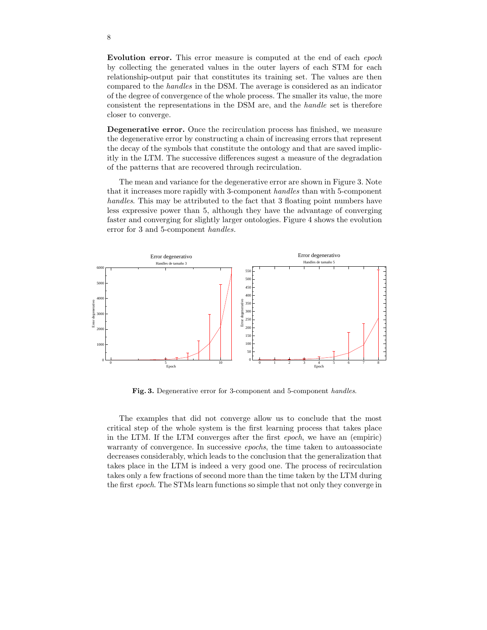Evolution error. This error measure is computed at the end of each epoch by collecting the generated values in the outer layers of each STM for each relationship-output pair that constitutes its training set. The values are then compared to the handles in the DSM. The average is considered as an indicator of the degree of convergence of the whole process. The smaller its value, the more consistent the representations in the DSM are, and the handle set is therefore closer to converge.

Degenerative error. Once the recirculation process has finished, we measure the degenerative error by constructing a chain of increasing errors that represent the decay of the symbols that constitute the ontology and that are saved implicitly in the LTM. The successive differences sugest a measure of the degradation of the patterns that are recovered through recirculation.

The mean and variance for the degenerative error are shown in Figure 3. Note that it increases more rapidly with 3-component handles than with 5-component handles. This may be attributed to the fact that 3 floating point numbers have less expressive power than 5, although they have the advantage of converging faster and converging for slightly larger ontologies. Figure 4 shows the evolution error for 3 and 5-component handles.



Fig. 3. Degenerative error for 3-component and 5-component handles.

The examples that did not converge allow us to conclude that the most critical step of the whole system is the first learning process that takes place in the LTM. If the LTM converges after the first epoch, we have an (empiric) warranty of convergence. In successive *epochs*, the time taken to autoassociate decreases considerably, which leads to the conclusion that the generalization that takes place in the LTM is indeed a very good one. The process of recirculation takes only a few fractions of second more than the time taken by the LTM during the first epoch. The STMs learn functions so simple that not only they converge in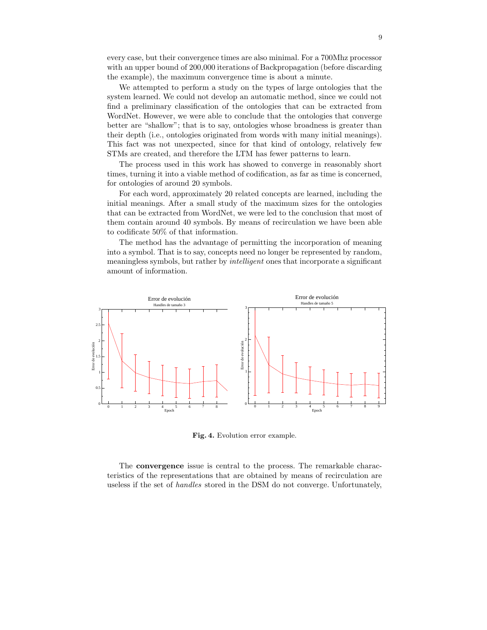every case, but their convergence times are also minimal. For a 700Mhz processor with an upper bound of 200,000 iterations of Backpropagation (before discarding the example), the maximum convergence time is about a minute.

We attempted to perform a study on the types of large ontologies that the system learned. We could not develop an automatic method, since we could not find a preliminary classification of the ontologies that can be extracted from WordNet. However, we were able to conclude that the ontologies that converge better are "shallow"; that is to say, ontologies whose broadness is greater than their depth (i.e., ontologies originated from words with many initial meanings). This fact was not unexpected, since for that kind of ontology, relatively few STMs are created, and therefore the LTM has fewer patterns to learn.

The process used in this work has showed to converge in reasonably short times, turning it into a viable method of codification, as far as time is concerned, for ontologies of around 20 symbols.

For each word, approximately 20 related concepts are learned, including the initial meanings. After a small study of the maximum sizes for the ontologies that can be extracted from WordNet, we were led to the conclusion that most of them contain around 40 symbols. By means of recirculation we have been able to codificate 50% of that information.

The method has the advantage of permitting the incorporation of meaning into a symbol. That is to say, concepts need no longer be represented by random, meaningless symbols, but rather by *intelligent* ones that incorporate a significant amount of information.



Fig. 4. Evolution error example.

The convergence issue is central to the process. The remarkable characteristics of the representations that are obtained by means of recirculation are useless if the set of handles stored in the DSM do not converge. Unfortunately,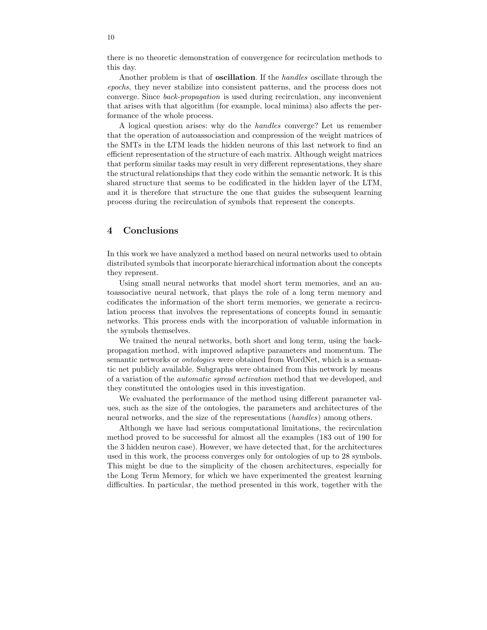there is no theoretic demonstration of convergence for recirculation methods to this day.

Another problem is that of **oscillation**. If the *handles* oscillate through the epochs, they never stabilize into consistent patterns, and the process does not converge. Since back-propagation is used during recirculation, any inconvenient that arises with that algorithm (for example, local minima) also affects the performance of the whole process.

A logical question arises: why do the handles converge? Let us remember that the operation of autoassociation and compression of the weight matrices of the SMTs in the LTM leads the hidden neurons of this last network to find an efficient representation of the structure of each matrix. Although weight matrices that perform similar tasks may result in very different representations, they share the structural relationships that they code within the semantic network. It is this shared structure that seems to be codificated in the hidden layer of the LTM, and it is therefore that structure the one that guides the subsequent learning process during the recirculation of symbols that represent the concepts.

## 4 Conclusions

In this work we have analyzed a method based on neural networks used to obtain distributed symbols that incorporate hierarchical information about the concepts they represent.

Using small neural networks that model short term memories, and an autoassociative neural network, that plays the role of a long term memory and codificates the information of the short term memories, we generate a recirculation process that involves the representations of concepts found in semantic networks. This process ends with the incorporation of valuable information in the symbols themselves.

We trained the neural networks, both short and long term, using the backpropagation method, with improved adaptive parameters and momentum. The semantic networks or *ontologies* were obtained from WordNet, which is a semantic net publicly available. Subgraphs were obtained from this network by means of a variation of the automatic spread activation method that we developed, and they constituted the ontologies used in this investigation.

We evaluated the performance of the method using different parameter values, such as the size of the ontologies, the parameters and architectures of the neural networks, and the size of the representations (handles) among others.

Although we have had serious computational limitations, the recirculation method proved to be successful for almost all the examples (183 out of 190 for the 3 hidden neuron case). However, we have detected that, for the architectures used in this work, the process converges only for ontologies of up to 28 symbols. This might be due to the simplicity of the chosen architectures, especially for the Long Term Memory, for which we have experimented the greatest learning difficulties. In particular, the method presented in this work, together with the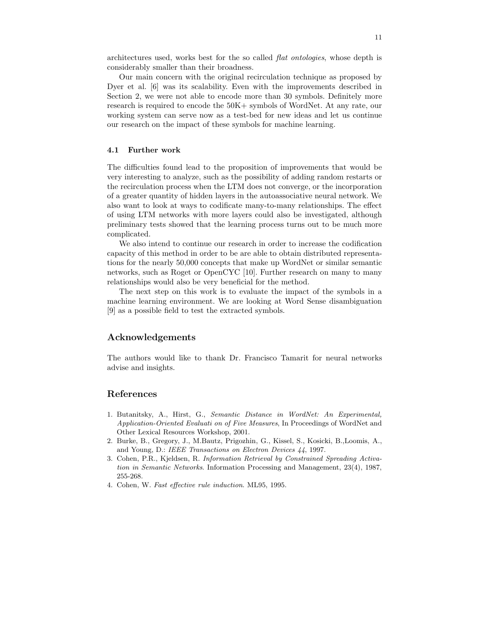architectures used, works best for the so called flat ontologies, whose depth is considerably smaller than their broadness.

Our main concern with the original recirculation technique as proposed by Dyer et al. [6] was its scalability. Even with the improvements described in Section 2, we were not able to encode more than 30 symbols. Definitely more research is required to encode the 50K+ symbols of WordNet. At any rate, our working system can serve now as a test-bed for new ideas and let us continue our research on the impact of these symbols for machine learning.

#### 4.1 Further work

The difficulties found lead to the proposition of improvements that would be very interesting to analyze, such as the possibility of adding random restarts or the recirculation process when the LTM does not converge, or the incorporation of a greater quantity of hidden layers in the autoassociative neural network. We also want to look at ways to codificate many-to-many relationships. The effect of using LTM networks with more layers could also be investigated, although preliminary tests showed that the learning process turns out to be much more complicated.

We also intend to continue our research in order to increase the codification capacity of this method in order to be are able to obtain distributed representations for the nearly 50,000 concepts that make up WordNet or similar semantic networks, such as Roget or OpenCYC [10]. Further research on many to many relationships would also be very beneficial for the method.

The next step on this work is to evaluate the impact of the symbols in a machine learning environment. We are looking at Word Sense disambiguation [9] as a possible field to test the extracted symbols.

## Acknowledgements

The authors would like to thank Dr. Francisco Tamarit for neural networks advise and insights.

#### References

- 1. Butanitsky, A., Hirst, G., Semantic Distance in WordNet: An Experimental, Application-Oriented Evaluati on of Five Measures, In Proceedings of WordNet and Other Lexical Resources Workshop, 2001.
- 2. Burke, B., Gregory, J., M.Bautz, Prigozhin, G., Kissel, S., Kosicki, B.,Loomis, A., and Young, D.: IEEE Transactions on Electron Devices 44, 1997.
- 3. Cohen, P.R., Kjeldsen, R. Information Retrieval by Constrained Spreading Activation in Semantic Networks. Information Processing and Management, 23(4), 1987, 255-268.
- 4. Cohen, W. Fast effective rule induction. ML95, 1995.